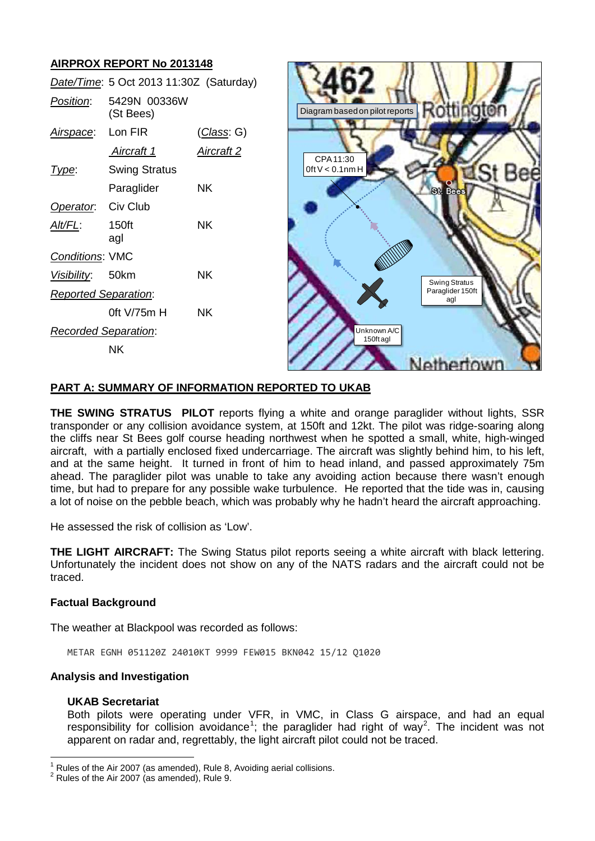# **AIRPROX REPORT No 2013148**

*Date/Time*: 5 Oct 2013 11:30Z (Saturday) *Position*: 5429N 00336W (St Bees) *Airspace*: Lon FIR (*Class*: G) *Aircraft 1 Aircraft 2 Type*: Swing Stratus Paraglider NK *Operator*: Civ Club *Alt/FL*: 150ft NK agl *Conditions*: VMC *Visibility*: 50km NK *Reported Separation*: 0ft V/75m H NK *Recorded Separation*: NK



## **PART A: SUMMARY OF INFORMATION REPORTED TO UKAB**

**THE SWING STRATUS PILOT** reports flying a white and orange paraglider without lights, SSR transponder or any collision avoidance system, at 150ft and 12kt. The pilot was ridge-soaring along the cliffs near St Bees golf course heading northwest when he spotted a small, white, high-winged aircraft, with a partially enclosed fixed undercarriage. The aircraft was slightly behind him, to his left, and at the same height. It turned in front of him to head inland, and passed approximately 75m ahead. The paraglider pilot was unable to take any avoiding action because there wasn't enough time, but had to prepare for any possible wake turbulence. He reported that the tide was in, causing a lot of noise on the pebble beach, which was probably why he hadn't heard the aircraft approaching.

He assessed the risk of collision as 'Low'.

**THE LIGHT AIRCRAFT:** The Swing Status pilot reports seeing a white aircraft with black lettering. Unfortunately the incident does not show on any of the NATS radars and the aircraft could not be traced.

#### **Factual Background**

The weather at Blackpool was recorded as follows:

METAR EGNH 051120Z 24010KT 9999 FEW015 BKN042 15/12 Q1020

## **Analysis and Investigation**

#### **UKAB Secretariat**

Both pilots were operating under VFR, in VMC, in Class G airspace, and had an equal responsibility for collision avoidance<sup>[1](#page-0-0)</sup>; the paraglider had right of way<sup>[2](#page-0-1)</sup>. The incident was not apparent on radar and, regrettably, the light aircraft pilot could not be traced.

<span id="page-0-0"></span>Rules of the Air 2007 (as amended), Rule 8, Avoiding aerial collisions.

<span id="page-0-1"></span> $2$  Rules of the Air 2007 (as amended), Rule 9.